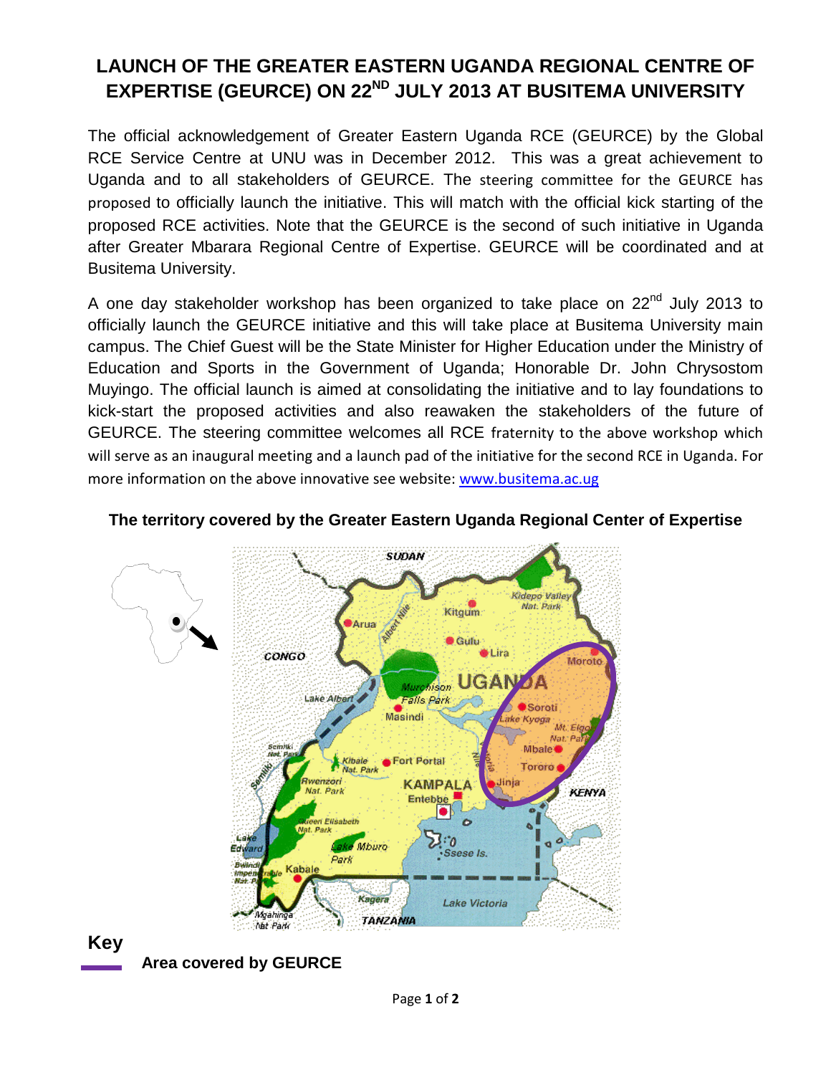# **LAUNCH OF THE GREATER EASTERN UGANDA REGIONAL CENTRE OF EXPERTISE (GEURCE) ON 22ND JULY 2013 AT BUSITEMA UNIVERSITY**

The official acknowledgement of Greater Eastern Uganda RCE (GEURCE) by the Global RCE Service Centre at UNU was in December 2012. This was a great achievement to Uganda and to all stakeholders of GEURCE. The steering committee for the GEURCE has proposed to officially launch the initiative. This will match with the official kick starting of the proposed RCE activities. Note that the GEURCE is the second of such initiative in Uganda after Greater Mbarara Regional Centre of Expertise. GEURCE will be coordinated and at Busitema University.

A one day stakeholder workshop has been organized to take place on 22<sup>nd</sup> July 2013 to officially launch the GEURCE initiative and this will take place at Busitema University main campus. The Chief Guest will be the State Minister for Higher Education under the Ministry of Education and Sports in the Government of Uganda; Honorable Dr. John Chrysostom Muyingo. The official launch is aimed at consolidating the initiative and to lay foundations to kick-start the proposed activities and also reawaken the stakeholders of the future of GEURCE. The steering committee welcomes all RCE fraternity to the above workshop which will serve as an inaugural meeting and a launch pad of the initiative for the second RCE in Uganda. For more information on the above innovative see website: [www.busitema.ac.ug](http://www.busitema.ac.ug/)



### **The territory covered by the Greater Eastern Uganda Regional Center of Expertise**

# **Key**

**Area covered by GEURCE**